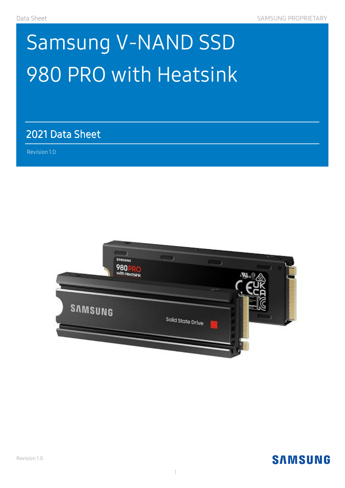# Samsung V-NAND SSD 980 PRO with Heatsink

2021 Data Sheet<br>Revision 1.0

 $\mathcal{A}(\mathcal{A})$  and  $\mathcal{A}(\mathcal{A})$  and  $\mathcal{A}(\mathcal{A})$  and  $\mathcal{A}(\mathcal{A})$ 

Revision 1.0 )

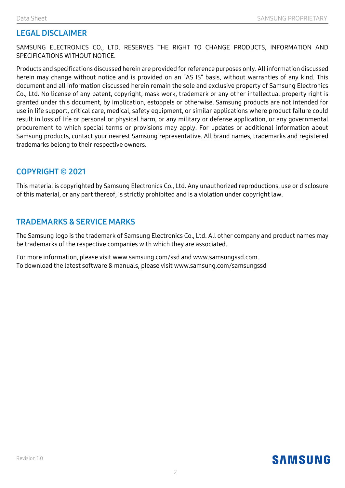#### LEGAL DISCLAIMER

SAMSUNG ELECTRONICS CO., LTD. RESERVES THE RIGHT TO CHANGE PRODUCTS, INFORMATION AND SPECIFICATIONS WITHOUT NOTICE.

Products and specifications discussed herein are provided for reference purposes only. All information discussed herein may change without notice and is provided on an "AS IS" basis, without warranties of any kind. This document and all information discussed herein remain the sole and exclusive property of Samsung Electronics Co., Ltd. No license of any patent, copyright, mask work, trademark or any other intellectual property right is granted under this document, by implication, estoppels or otherwise. Samsung products are not intended for use in life support, critical care, medical, safety equipment, or similar applications where product failure could result in loss of life or personal or physical harm, or any military or defense application, or any governmental procurement to which special terms or provisions may apply. For updates or additional information about Samsung products, contact your nearest Samsung representative. All brand names, trademarks and registered trademarks belong to their respective owners.

#### COPYRIGHT © 2021

This material is copyrighted by Samsung Electronics Co., Ltd. Any unauthorized reproductions, use or disclosure of this material, or any part thereof, is strictly prohibited and is a violation under copyright law.

#### TRADEMARKS & SERVICE MARKS

The Samsung logo is the trademark of Samsung Electronics Co., Ltd. All other company and product names may be trademarks of the respective companies with which they are associated.

For more information, please visit www.samsung.com/ssd and www.samsungssd.com. To download the latest software & manuals, please visit www.samsung.com/samsungssd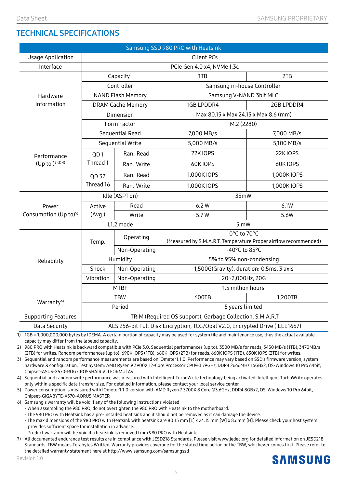#### TECHNICAL SPECIFICATIONS

| Samsung SSD 980 PRO with Heatsink |                                                                             |                                                           |                                                                                  |                                                                                       |  |  |
|-----------------------------------|-----------------------------------------------------------------------------|-----------------------------------------------------------|----------------------------------------------------------------------------------|---------------------------------------------------------------------------------------|--|--|
| <b>Usage Application</b>          | Client PCs                                                                  |                                                           |                                                                                  |                                                                                       |  |  |
| Interface                         |                                                                             |                                                           | PCIe Gen 4.0 x4, NVMe 1.3c                                                       |                                                                                       |  |  |
|                                   | Capacity <sup>1)</sup>                                                      |                                                           | 1TB                                                                              | 2TB                                                                                   |  |  |
| Hardware<br>Information           | Controller                                                                  |                                                           | Samsung in-house Controller                                                      |                                                                                       |  |  |
|                                   | <b>NAND Flash Memory</b>                                                    |                                                           | Samsung V-NAND 3bit MLC                                                          |                                                                                       |  |  |
|                                   | <b>DRAM Cache Memory</b>                                                    |                                                           | 1GB LPDDR4                                                                       | 2GB LPDDR4                                                                            |  |  |
|                                   | Dimension                                                                   |                                                           | Max 80.15 x Max 24.15 x Max 8.6 (mm)                                             |                                                                                       |  |  |
|                                   | Form Factor                                                                 |                                                           | M.2 (2280)                                                                       |                                                                                       |  |  |
| Performance<br>$(Up to.)^{2(3)}4$ | Sequential Read                                                             |                                                           | 7,000 MB/s                                                                       | 7,000 MB/s                                                                            |  |  |
|                                   | Sequential Write                                                            |                                                           | 5,000 MB/s                                                                       | 5,100 MB/s                                                                            |  |  |
|                                   | QD <sub>1</sub><br>Thread 1                                                 | Ran. Read                                                 | 22K IOPS                                                                         | 22K IOPS                                                                              |  |  |
|                                   |                                                                             | Ran. Write                                                | 60KIOPS                                                                          | 60KIOPS                                                                               |  |  |
|                                   | QD 32<br>Thread 16                                                          | Ran. Read                                                 | 1,000K IOPS                                                                      | 1,000K IOPS                                                                           |  |  |
|                                   |                                                                             | Ran. Write                                                | 1,000K IOPS                                                                      | 1,000K IOPS                                                                           |  |  |
| Power                             | Idle (ASPT on)                                                              |                                                           | 35mW                                                                             |                                                                                       |  |  |
|                                   | Active<br>(Avg.)                                                            | Read                                                      | 6.2W                                                                             | 6.1W                                                                                  |  |  |
| Consumption (Up to) <sup>5)</sup> |                                                                             | Write                                                     | 5.7W                                                                             | 5.6W                                                                                  |  |  |
|                                   | L1.2 mode                                                                   |                                                           |                                                                                  | 5 mW                                                                                  |  |  |
|                                   | Temp.                                                                       | Operating                                                 | 0°C to 70°C                                                                      |                                                                                       |  |  |
|                                   |                                                                             |                                                           |                                                                                  |                                                                                       |  |  |
|                                   | Non-Operating                                                               |                                                           |                                                                                  | -40°C to 85°C<br>5% to 95% non-condensing<br>1,500G(Gravity), duration: 0.5ms, 3 axis |  |  |
| Reliability                       | Shock                                                                       | Humidity                                                  | (Measured by S.M.A.R.T. Temperature Proper airflow recommended)<br>Non-Operating |                                                                                       |  |  |
|                                   | Vibration                                                                   |                                                           |                                                                                  |                                                                                       |  |  |
| Warranty <sup>6)</sup>            |                                                                             | 20~2,000Hz, 20G<br>Non-Operating                          |                                                                                  |                                                                                       |  |  |
|                                   | <b>MTBF</b>                                                                 |                                                           | 1.5 million hours                                                                |                                                                                       |  |  |
|                                   | <b>TBW</b><br>Period                                                        |                                                           | 600TB<br>5 years limited                                                         | 1,200TB                                                                               |  |  |
| <b>Supporting Features</b>        |                                                                             | TRIM (Required OS support), Garbage Collection, S.M.A.R.T |                                                                                  |                                                                                       |  |  |
| Data Security                     |                                                                             |                                                           |                                                                                  |                                                                                       |  |  |
|                                   | AES 256-bit Full Disk Encryption, TCG/Opal V2.0, Encrypted Drive (IEEE1667) |                                                           |                                                                                  |                                                                                       |  |  |

1) 1GB = 1,000,000,000 bytes by IDEMA. A certain portion of capacity may be used for system file and maintenance use, thus the actual available capacity may differ from the labeled capacity.

2) 980 PRO with Heatsink is backward compatible with PCIe 3.0. Sequential performances (up to): 3500 MB/s for reads, 3450 MB/s (1TB), 3470MB/s (2TB) for writes. Random performances (up to): 690K IOPS (1TB), 680K IOPS (2TB) for reads, 660K IOPS (1TB), 630K IOPS (2TB) for writes.

3) Sequential and random performance measurements are based on IOmeter1.1.0. Performance may vary based on SSD's firmware version, system hardware & configuration. Test System: AMD Ryzen 9 3900X 12-Core Processor CPU@3.79GHz, DDR4 2666MHz 16GBx2, OS-Windows 10 Pro 64bit, Chipset-ASUS-X570-ROG CROSSHAIR VIII FORMULAv

4) Sequential and random write performance was measured with Intelligent TurboWrite technology being activated. Intelligent TurboWrite operates only within a specific data transfer size. For detailed information, please contact your local service center

5) Power consumption is measured with IOmeter1.1.0 version with AMD Ryzen 7 3700X 8 Core @3.6GHz, DDR4 8GBx2, OS-Windows 10 Pro 64bit, Chipset-GIGABYTE-X570-AORUS MASTER

6) Samsung's warranty will be void if any of the following instructions violated.

- When assembling the 980 PRO, do not overtighten the 980 PRO with Heatsink to the motherboard.

- The 980 PRO with Heatsink has a pre-installed heat sink and it should not be removed as it can damage the device.

- The max dimensions of the 980 PRO with Heatsink with heatsink are 80.15 mm [L] x 24.15 mm [W] x 8.6mm [H]. Please check your host system provides sufficient space for installation in advance.

- Product warranty will be void if a heatsink is removed from 980 PRO with Heatsink.

7) All documented endurance test results are in compliance with JESD218 Standards. Please visit www.jedec.org for detailed information on JESD218 Standards. TBW means Terabytes Written, Warranty provides coverage for the stated time period or the TBW, whichever comes first. Please refer to the detailed warranty statement here a[t http://www.samsung.com/samsungssd](http://www.samsung.com/samsungssd)

Revision 1.0

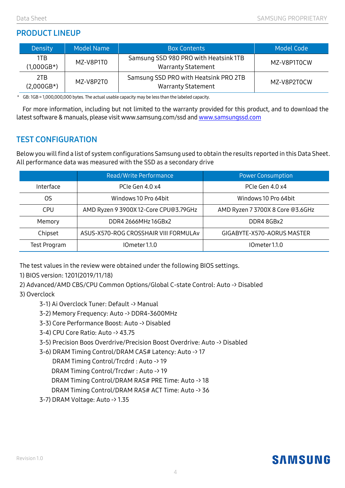#### PRODUCT LINEUP

| <b>Density</b>      | <b>Model Name</b> | <b>Box Contents</b>                                                | Model Code  |  |
|---------------------|-------------------|--------------------------------------------------------------------|-------------|--|
| 1TB                 | MZ-V8P1T0         | Samsung SSD 980 PRO with Heatsink 1TB                              | MZ-V8P1T0CW |  |
| $(1,000GB*)$        |                   | <b>Warranty Statement</b>                                          |             |  |
| 2TB<br>$(2,000GB*)$ | MZ-V8P2T0         | Samsung SSD PRO with Heatsink PRO 2TB<br><b>Warranty Statement</b> | MZ-V8P2T0CW |  |

\* GB: 1GB = 1,000,000,000 bytes. The actual usable capacity may be less than the labeled capacity.

For more information, including but not limited to the warranty provided for this product, and to download the latest software & manuals, please visit www.samsung.com/ssd an[d www.samsungssd.com](http://www.samsungssd.com/)

#### TEST CONFIGURATION

Below you will find a list of system configurations Samsung used to obtain the results reported in this Data Sheet. All performance data was measured with the SSD as a secondary drive

|              | Read/Write Performance                                              | <b>Power Consumption</b>         |  |
|--------------|---------------------------------------------------------------------|----------------------------------|--|
| Interface    | PCIe Gen 4.0 x4                                                     | PCIe Gen 4.0 x4                  |  |
| OS           | Windows 10 Pro 64bit                                                | Windows 10 Pro 64bit             |  |
| CPU          | AMD Ryzen 9 3900X 12-Core CPU@3.79GHz                               | AMD Ryzen 7 3700X 8 Core @3.6GHz |  |
| Memory       | DDR4 2666MHz 16GBx2                                                 | DDR4 8GBx2                       |  |
| Chipset      | ASUS-X570-ROG CROSSHAIR VIII FORMULAV<br>GIGABYTE-X570-AORUS MASTER |                                  |  |
| Test Program | IOmeter 1.1.0                                                       | IOmeter 1.1.0                    |  |

The test values in the review were obtained under the following BIOS settings.

- 1) BIOS version: 1201(2019/11/18)
- 2) Advanced/AMD CBS/CPU Common Options/Global C-state Control: Auto -> Disabled

#### 3) Overclock

- 3-1) Ai Overclock Tuner: Default -> Manual
- 3-2) Memory Frequency: Auto -> DDR4-3600MHz
- 3-3) Core Performance Boost: Auto -> Disabled
- 3-4) CPU Core Ratio: Auto -> 43.75
- 3-5) Precision Boos Overdrive/Precision Boost Overdrive: Auto -> Disabled
- 3-6) DRAM Timing Control/DRAM CAS# Latency: Auto -> 17

DRAM Timing Control/Trcdrd : Auto -> 19

DRAM Timing Control/Trcdwr : Auto -> 19

DRAM Timing Control/DRAM RAS# PRE Time: Auto -> 18

DRAM Timing Control/DRAM RAS# ACT Time: Auto -> 36

3-7) DRAM Voltage: Auto -> 1.35

## **SAMSUNG**